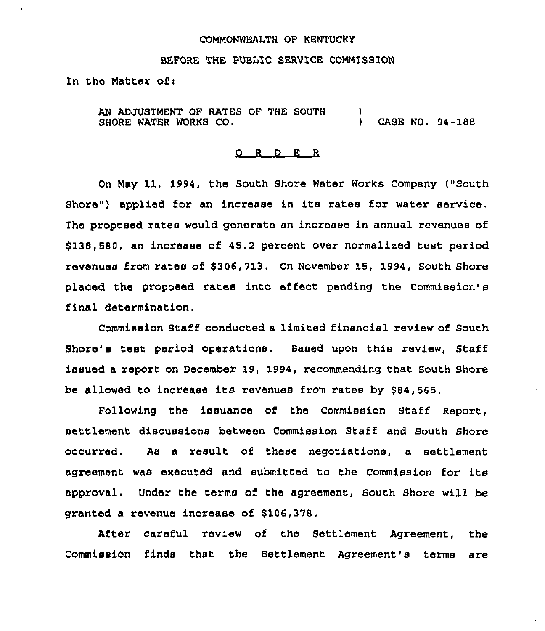#### COMMONWEALTH OF KENTUCKY

#### BEFORE THE PUBLIC SERVICE COMMISSION

In the Matter of:

AN ADJUSTMENT OF RATES OF THE SOUTH SHORE WATER WORKS CO.  $\lambda$ ) CASE NO» 94-188

#### 0 <sup>R</sup> <sup>D</sup> E R

On May 11, 1994, the South Shore Water Works Company (»South  $\frac{1}{2}$  shore" ) applied for an increase in its rates for water service. The proposed rates would generate an increase in annual revenues of \$ 138,580, an increase of 45.2 percent over normalized test period revenues from rates of 8306,713, On November 15, 1994, South Shore placed the proposed rates into effect pending the Commission's final determination,

Commission Staff conducted a limited financial review of South Shore's test period operations. Based upon this review, Staff issued a report on December 19, 1994, recommending that South Shore be allowed to increase its revenues from rates by \$84,565.

Following the issuance of the Commission Staff Report, settlement discussions between Commission Staff and South Shore occurred. As a result of these negotiations, a settlement agreement was executed and submitted to the Commission for its approval. Under the terms of the agreement, South Shore will be granted a revenue incxease of \$106,378.

After caxeful review of the Settlement Agreement, the Commission finds that the Settlement Agreement's terms are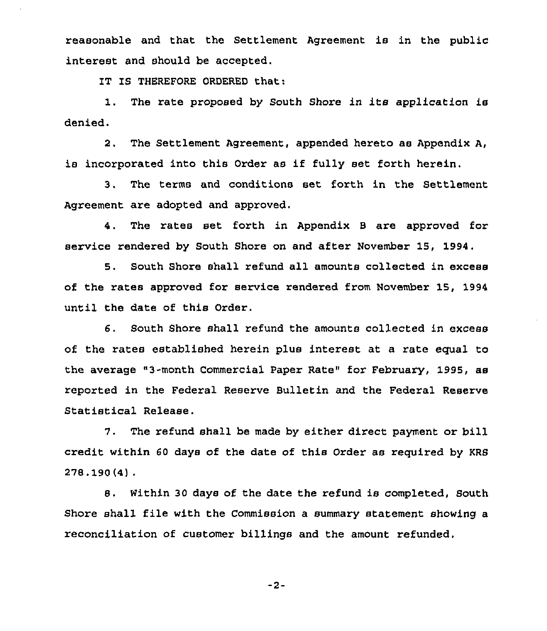reasonable and that the Settlement Agreement is in the public interest and should be accepted.

IT IS THEREFORE ORDERED that:

1. The rate proposed by South Shore in its application is denied.

2. The Settlement Agreement, appended hereto as Appendix A, is incorporated into this Order as if fully set forth herein.

3. The terms and conditions set forth in the Settlement Agreement are adopted and approved.

4, The rates set forth in Appendix 5 are approved for service rendered by South Shore on and after November 15, 1994.

5. South Shore shall refund all amounts collected in excess of the rates approved for service rendered from November 15, 1994 until the date of this Order.

6. South Shore shall refund the amounts collected in excess of the rates established herein plus interest at a rate equal to the average "3-month Commercial Paper Rate" for February, 1995, as reported in the Federal Reserve Bulletin and the Federal Reserve Statistical Release.

7. The refund shall be made by either direct payment or bill credit within 60 days of the date of this Order as required by KRB  $278.190(4)$ .

8. Within 30 days of the date the refund is completed, South Shore shall file with the Commission a summary statement showing a reconciliation of customer billings and the amount refunded.

 $-2-$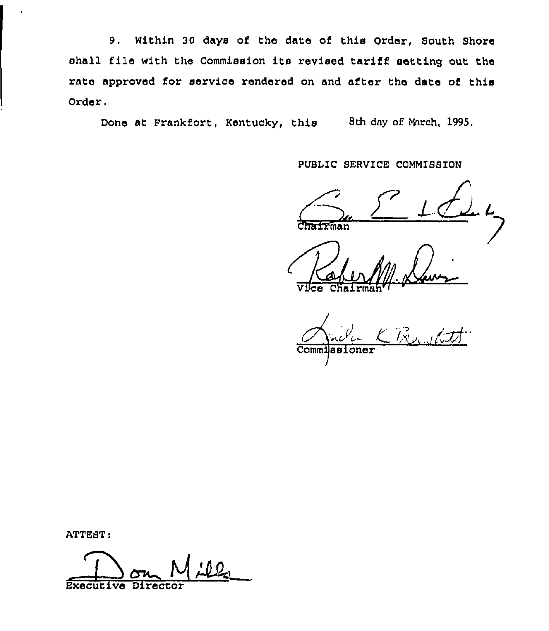9. Within 30 days of the date of this Order, South Shore shall file with the Commission its revised tariff setting out the rate approved for service rendered on and after the date of this Order.

Done at Frankfort, Kentucky, this 8th day of Murch, 1995.

PUBLIC SERVICE COMMISSION

Chairman

V<del>lce</del> Chairmah

 $K$  Presidents

Commissioner

ATTEST:

Executive Director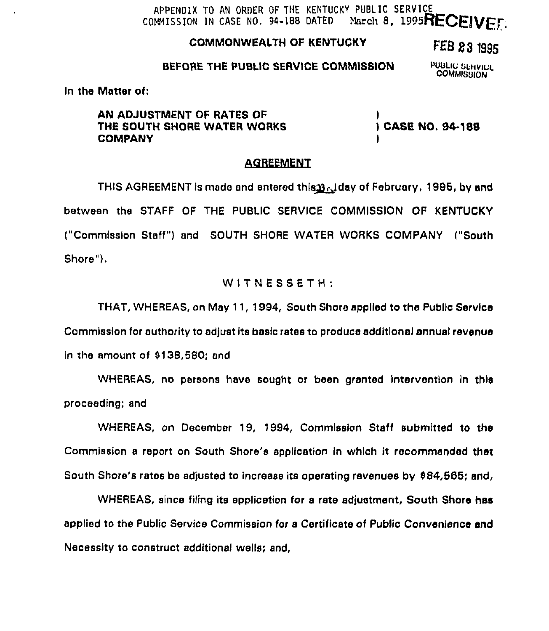## APPENDIX TO AN ORDER OF THE KENTUCKY PUBLIC SERVICE<br>COMMISSION IN CASE NO. 94-188 DATED March 8. 1995 March 8, 1995RECEIVED

## COMMONWEALTH OF KENTUCKY

# FEB 23 1995

#### BEFORE THE PUBLIC SERVICE COMMISSION

PUBLIC SERVICE **COMMISSION** 

In the Matter of:

AN ADJUSTMENT OF RATES OF THE SOUTH SHORE WATER WORKS COMPANY

,<br>) CASE NO. 94-188 )

## **AGREEMENT**

THIS AGREEMENT is made and entered this 3.d day of February, 1995, by and between the STAFF OF THE PUBLIC SERVICE COMMISSION OF KENTUCKY ("Commission Staff") and SOUTH SHORE WATER WORKS COMPANY ("South Shore").

## $W$ ITNESSETH:

THAT, WHEREAS, on May 11, 1994, South Shore applied to the Public Service Commission for authority to adjust its basic rates to produce additional annual revenue in the amount of \$138,580; and

WHEREAS, no persons have sought or been granted intervention in this proceeding; and

WHEREAS, on December 19, 1994, Commission Staff submitted to the Commission a report on South Shore's application in which it recommended that South Shore's ratos be adjusted to increase its operating revenues by 884,666; and,

WHEREAS, since filing its application for a rate adjustment, South Shore has applied to the Public Service Commission for a Certificate of Public Convenience end Necessity to construct additional wells; and,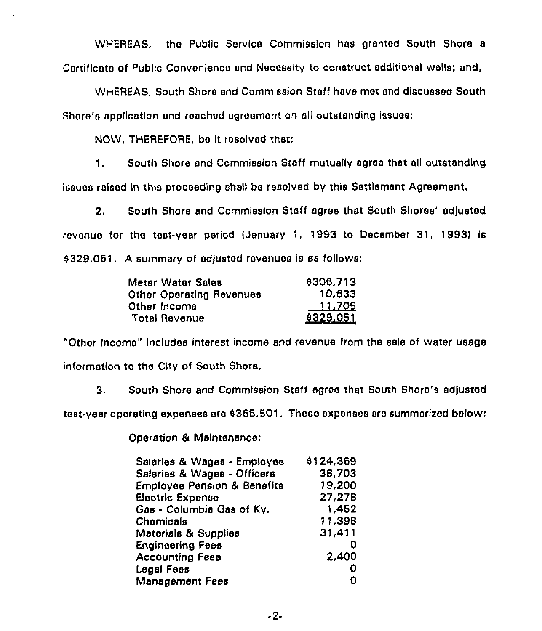WHEREAS, tho Public Service Commission has granted South Shore a Cortificato of Public Convonienco and Necessity to construct additional wells; and,

WHEREAS, South Shore and Commission Staff have mot and discussed South Shore's application and reached agreement on all outstanding issues;

NOW, THEREFORE, be it rosolved that:

1, South Shore ond Commission Staff mutually agree that all outstanding issues raised in this proceeding shall be resolved by this Settlement Agreement.

2. South Shore and Commission Staff agree that South Shores' adjusted revenue for the test-year period (January 1, 1993 to December 31, 1993) is  $$329,051.$  A summary of adjusted revenues is as follows:

| Meter Water Sales               | \$306,713 |
|---------------------------------|-----------|
| <b>Other Operating Revenues</b> | 10,633    |
| Other Income                    | $-11.705$ |
| <b>Total Revenue</b>            | \$329,051 |

"Other Income" includes interest income and revenue from the sale of water usage information to the City of South Shore.

3. South Shore and Commission Staff agree that South Shore's adjusted

tost-year operating expenses ere 4365,501, These expenses are summarized below:

Operation & Maintenance:

| Salaries & Wages - Employee            | \$124,369 |
|----------------------------------------|-----------|
| Salaries & Wages - Officers            | 38,703    |
| <b>Employee Pension &amp; Benefits</b> | 19,200    |
| <b>Electric Expense</b>                | 27,278    |
| Gas - Columbia Gas of Ky.              | 1,452     |
| Chemicals                              | 11,398    |
| Matorials & Supplies                   | 31,411    |
| <b>Engineering Fees</b>                |           |
| <b>Accounting Fees</b>                 | 2,400     |
| Legal Fees                             |           |
| Management Fees                        |           |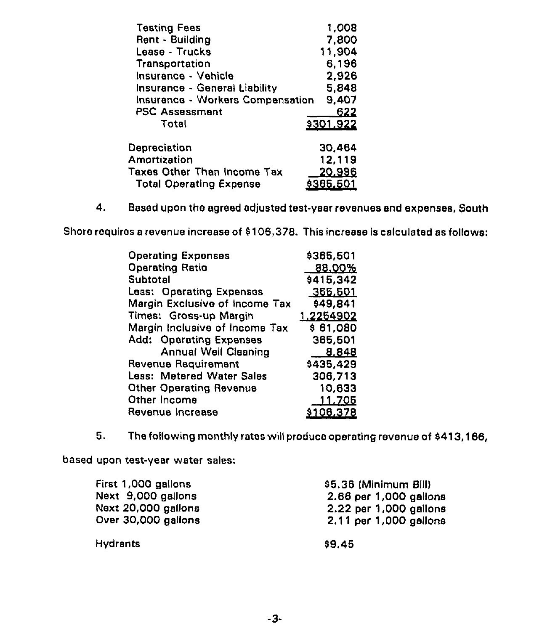| <b>Testing Fees</b>                     | 1,008            |
|-----------------------------------------|------------------|
| Rent - Building                         | 7,800            |
| Lease - Trucks                          | 11,904           |
| Transportation                          | 6,196            |
| Insurance - Vehicle                     | 2,926            |
| Insurance - General Liability           | 5,848            |
| <b>Insurance - Workers Compensation</b> | 9,407            |
| <b>PSC Assessment</b>                   | 622              |
| Total                                   | 9301.922         |
| Depreciation                            | 30,464           |
| Amortization                            | 12,119           |
| Taxes Other Than Income Tax             | <u> 20,996</u>   |
| <b>Total Operating Expense</b>          | <u>\$365,501</u> |

4. Based upon the agreed adjusted test-year revenues and expenses, South

Shore requires a revenue increase of 8106,378. This increase is calculated as follows:

| <b>Operating Expenses</b>        | \$365,501        |  |  |  |
|----------------------------------|------------------|--|--|--|
| <b>Operating Ratio</b>           | <u>88.00%</u>    |  |  |  |
| Subtotal                         | \$415,342        |  |  |  |
| Less: Operating Expenses         | 366,501          |  |  |  |
| Margin Exclusive of Income Tax   | \$49,841         |  |  |  |
| Times: Gross-up Margin           | 1.2254902        |  |  |  |
| Margin Inclusive of Income Tax   | \$61,080         |  |  |  |
| <b>Add: Operating Expenses</b>   | 365,501          |  |  |  |
| <b>Annual Well Cleaning</b>      | 8,848            |  |  |  |
| Revenue Requirement              | \$435,429        |  |  |  |
| <b>Less: Metered Water Sales</b> | 306,713          |  |  |  |
| <b>Other Operating Revenue</b>   | 10,633           |  |  |  |
| Other Income                     | <u> 11.705</u>   |  |  |  |
| Revenue Increase                 | <u>\$106,378</u> |  |  |  |

5. The following monthly rates will produce operating revenue of \$413,166,

based upon test-year water sales:

| First 1,000 gallons | \$5.36 (Minimum Bill)  |  |
|---------------------|------------------------|--|
| Next 9,000 gallons  | 2.66 per 1,000 gallons |  |
| Next 20,000 gallons | 2.22 per 1,000 gallons |  |
| Over 30,000 gallons | 2.11 per 1,000 gallons |  |
| <b>Hydrants</b>     | \$9.45                 |  |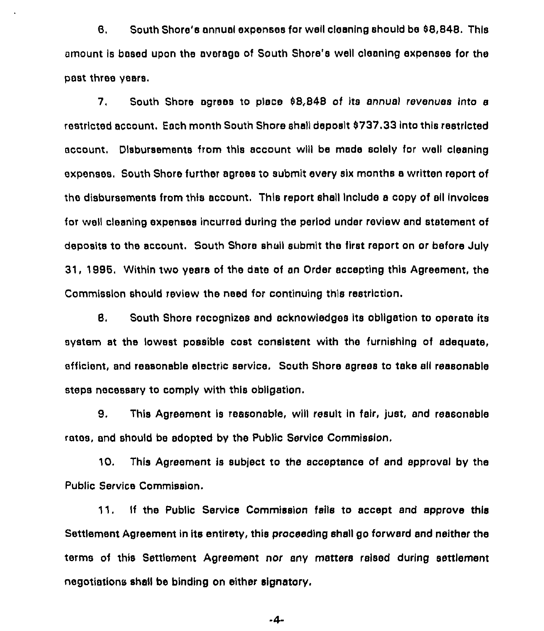B. South Shore's annual expenses for well cleaning should be S8,848. This amount Is based upon the average of South Shore's well cleaning expenses for the past three years.

7, South Shore agrees to place 98,848 of its annual revenues into a restricted account. Each month South Shore shall deposit S737,33into this restricted account. Disbursements from this account will be made solely for well cleaning expenses. South Shore further agrees to submit every six months a written report of the disbursements from this account. This report shall Include a copy of sll Invoices for well cleaning expenses incurred during the period under review and statement of deposits to the account. South Shore shaii submit the first report on or before July 31, 1888. Within two years of the date of an Order accepting this Agreement, the Commission should review the need for continuing this restriction.

B. South Shore recognizes and acknowledges its obligation to operate its system st the lowest possible cost consistent with the furnishing of adequate, efficient, snd reasonable electric service. South Shore agrees to take all reasonable steps necessary to comply with this obligation.

B. This Agreement is reasonable, will result in fair, just, and reasonable rates, and should bs adopted by the Public Service Commission.

10. This Agreement is subject to the acceptance of and approval by the Public Service Commission.

11. If the Public Service Commission fails to accept snd approve this Settlement Agreement in its entirety, this proceeding shell go forward and neither the terms of this Settlement Agreement nor any matters raised during settlement negotiations shall bs binding on either signatory.

 $-4-$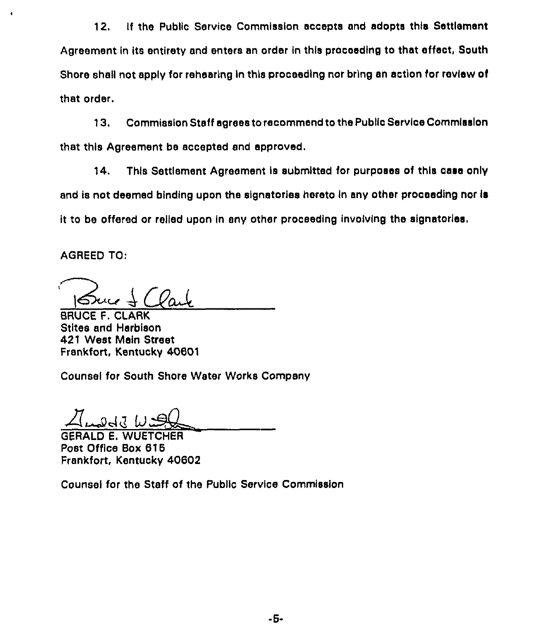12. If the Public Service Commission accepts and adopts this Settlement Agreement in its entirety and enters an order in this proceeding to that effect, South Shore shall not apply for rehearing in this proceeding nor bring an action for review of that order.

13. Commission Staff agrees to recommend to the Public Service Commission that this Agreement be accepted and approved.

14. This Settlement Agreement is submitted for purposes of this case only and is not deemed binding upon the signatories hereto in any other proceeding nor is it to be offered or relied upon in any other proceeding involving the signatories.

AGREED TO:

 $\bullet$ 

BRUCE F. CLARK Stites and Harblson 421 West Mein Street Frankfort, Kentucky 40601

Counsel for South Shore Water Works Company

GERALD E. WUETCHER Post Office Box 616 Frankfort, Kentucky 40602

Counsel for the Staff of the Public Service Commission